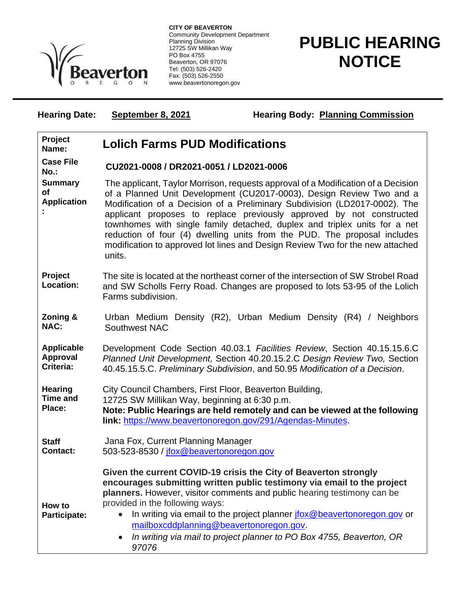

**CITY OF BEAVERTON** Community Development Department Planning Division 12725 SW Millikan Way PO Box 4755 Beaverton, OR 97076 Tel: (503) 526-2420 Fax: (503) 526-2550 www.beavertonoregon.gov

## **PUBLIC HEARING NOTICE**

**Hearing Date:** September 8, 2021 **Hearing Body: Planning Commission** 

| Project<br>Name:                                  | <b>Lolich Farms PUD Modifications</b>                                                                                                                                                                                                                                                                                                                                                                                                                                                                                                                               |
|---------------------------------------------------|---------------------------------------------------------------------------------------------------------------------------------------------------------------------------------------------------------------------------------------------------------------------------------------------------------------------------------------------------------------------------------------------------------------------------------------------------------------------------------------------------------------------------------------------------------------------|
| <b>Case File</b><br>$No.$ :                       | CU2021-0008 / DR2021-0051 / LD2021-0006                                                                                                                                                                                                                                                                                                                                                                                                                                                                                                                             |
| <b>Summary</b><br>of<br><b>Application</b>        | The applicant, Taylor Morrison, requests approval of a Modification of a Decision<br>of a Planned Unit Development (CU2017-0003), Design Review Two and a<br>Modification of a Decision of a Preliminary Subdivision (LD2017-0002). The<br>applicant proposes to replace previously approved by not constructed<br>townhomes with single family detached, duplex and triplex units for a net<br>reduction of four (4) dwelling units from the PUD. The proposal includes<br>modification to approved lot lines and Design Review Two for the new attached<br>units. |
| Project<br>Location:                              | The site is located at the northeast corner of the intersection of SW Strobel Road<br>and SW Scholls Ferry Road. Changes are proposed to lots 53-95 of the Lolich<br>Farms subdivision.                                                                                                                                                                                                                                                                                                                                                                             |
| Zoning &<br><b>NAC:</b>                           | Urban Medium Density (R2), Urban Medium Density (R4) / Neighbors<br>Southwest NAC                                                                                                                                                                                                                                                                                                                                                                                                                                                                                   |
| <b>Applicable</b><br><b>Approval</b><br>Criteria: | Development Code Section 40.03.1 Facilities Review, Section 40.15.15.6.C<br>Planned Unit Development, Section 40.20.15.2.C Design Review Two, Section<br>40.45.15.5.C. Preliminary Subdivision, and 50.95 Modification of a Decision.                                                                                                                                                                                                                                                                                                                               |
| <b>Hearing</b><br><b>Time and</b><br>Place:       | City Council Chambers, First Floor, Beaverton Building,<br>12725 SW Millikan Way, beginning at 6:30 p.m.<br>Note: Public Hearings are held remotely and can be viewed at the following<br>link: https://www.beavertonoregon.gov/291/Agendas-Minutes.                                                                                                                                                                                                                                                                                                                |
| <b>Staff</b><br><b>Contact:</b>                   | Jana Fox, Current Planning Manager<br>503-523-8530 / jfox@beavertonoregon.gov                                                                                                                                                                                                                                                                                                                                                                                                                                                                                       |
| How to<br>Participate:                            | Given the current COVID-19 crisis the City of Beaverton strongly<br>encourages submitting written public testimony via email to the project<br>planners. However, visitor comments and public hearing testimony can be<br>provided in the following ways:<br>In writing via email to the project planner jfox@beavertonoregon.gov or<br>mailboxcddplanning@beavertonoregon.gov.<br>In writing via mail to project planner to PO Box 4755, Beaverton, OR<br>97076                                                                                                    |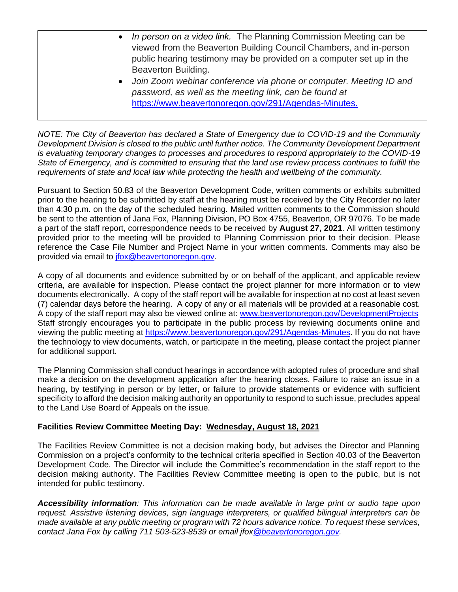- *In person on a video link.* The Planning Commission Meeting can be viewed from the Beaverton Building Council Chambers, and in-person public hearing testimony may be provided on a computer set up in the Beaverton Building.
- *Join Zoom webinar conference via phone or computer. Meeting ID and password, as well as the meeting link, can be found at*  [https://www.beavertonoregon.gov/291/Agendas-Minutes.](https://www.beavertonoregon.gov/291/Agendas-Minutes)

*NOTE: The City of Beaverton has declared a State of Emergency due to COVID-19 and the Community Development Division is closed to the public until further notice. The Community Development Department is evaluating temporary changes to processes and procedures to respond appropriately to the COVID-19 State of Emergency, and is committed to ensuring that the land use review process continues to fulfill the requirements of state and local law while protecting the health and wellbeing of the community.*

Pursuant to Section 50.83 of the Beaverton Development Code, written comments or exhibits submitted prior to the hearing to be submitted by staff at the hearing must be received by the City Recorder no later than 4:30 p.m. on the day of the scheduled hearing. Mailed written comments to the Commission should be sent to the attention of Jana Fox, Planning Division, PO Box 4755, Beaverton, OR 97076. To be made a part of the staff report, correspondence needs to be received by **August 27, 2021**. All written testimony provided prior to the meeting will be provided to Planning Commission prior to their decision. Please reference the Case File Number and Project Name in your written comments. Comments may also be provided via email to [jfox@beavertonoregon.gov.](mailto:jfox@beavertonoregon.gov)

A copy of all documents and evidence submitted by or on behalf of the applicant, and applicable review criteria, are available for inspection. Please contact the project planner for more information or to view documents electronically. A copy of the staff report will be available for inspection at no cost at least seven (7) calendar days before the hearing. A copy of any or all materials will be provided at a reasonable cost. A copy of the staff report may also be viewed online at: [www.beavertonoregon.gov/DevelopmentProjects](http://www.beavertonoregon.gov/DevelopmentProjects) Staff strongly encourages you to participate in the public process by reviewing documents online and viewing the public meeting at [https://www.beavertonoregon.gov/291/Agendas-Minutes.](https://www.beavertonoregon.gov/291/Agendas-Minutes) If you do not have the technology to view documents, watch, or participate in the meeting, please contact the project planner for additional support.

The Planning Commission shall conduct hearings in accordance with adopted rules of procedure and shall make a decision on the development application after the hearing closes. Failure to raise an issue in a hearing, by testifying in person or by letter, or failure to provide statements or evidence with sufficient specificity to afford the decision making authority an opportunity to respond to such issue, precludes appeal to the Land Use Board of Appeals on the issue.

## **Facilities Review Committee Meeting Day: Wednesday, August 18, 2021**

The Facilities Review Committee is not a decision making body, but advises the Director and Planning Commission on a project's conformity to the technical criteria specified in Section 40.03 of the Beaverton Development Code. The Director will include the Committee's recommendation in the staff report to the decision making authority. The Facilities Review Committee meeting is open to the public, but is not intended for public testimony.

*Accessibility information: This information can be made available in large print or audio tape upon request. Assistive listening devices, sign language interpreters, or qualified bilingual interpreters can be made available at any public meeting or program with 72 hours advance notice. To request these services, contact Jana Fox by calling 711 503-523-8539 or email jfo[x@beavertonoregon.gov.](mailto:lrussell@beavertonoregon.gov)*